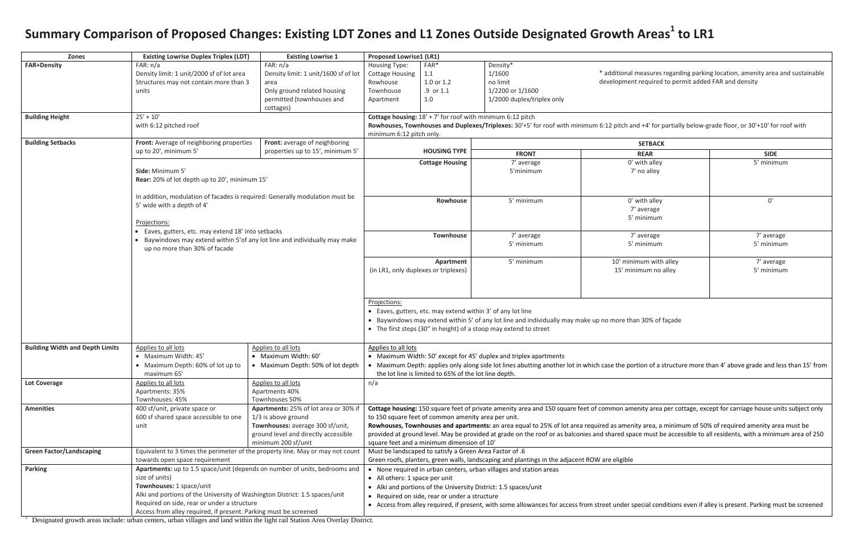| <b>SETBACK</b>                            |                          |
|-------------------------------------------|--------------------------|
| <b>REAR</b>                               | <b>SIDE</b>              |
| 0' with alley<br>7' no alley              | 5' minimum               |
|                                           |                          |
| 0' with alley<br>7' average<br>5' minimum | 0'                       |
| 7' average<br>5' minimum                  | 7' average<br>5' minimum |
| minimum with alley<br>minimum no alley    | 7' average<br>5' minimum |

than 30% of façade

portion of a structure more than 4' above grade and less than 15' from

amenity area per cottage, except for carriage house units subject only

**nenity area, a minimum of 50% of required amenity area must be** space must be accessible to all residents, with a minimum area of 250

er special conditions even if alley is present. Parking must be screened

## Summary Comparison of Proposed Changes: Existing LDT Zones and L1 Zones Outside Designated Growth Areas<sup>1</sup> to LR1

| <b>Zones</b>                                                     | <b>Existing Lowrise Duplex Triplex (LDT)</b>                                                                               | <b>Existing Lowrise 1</b>                                                 | <b>Proposed Lowrise1 (LR1)</b>                                                                                                                                 |                                                         |                                                                                                             |                                                                                                               |  |
|------------------------------------------------------------------|----------------------------------------------------------------------------------------------------------------------------|---------------------------------------------------------------------------|----------------------------------------------------------------------------------------------------------------------------------------------------------------|---------------------------------------------------------|-------------------------------------------------------------------------------------------------------------|---------------------------------------------------------------------------------------------------------------|--|
| <b>FAR+Density</b>                                               | FAR: n/a                                                                                                                   | FAR: n/a                                                                  | Housing Type:                                                                                                                                                  | FAR*                                                    | Density*                                                                                                    |                                                                                                               |  |
|                                                                  | Density limit: 1 unit/2000 sf of lot area                                                                                  | Density limit: 1 unit/1600 sf of lot                                      | <b>Cottage Housing</b>                                                                                                                                         | 1.1                                                     | 1/1600                                                                                                      | * additional measures regar                                                                                   |  |
|                                                                  | Structures may not contain more than 3                                                                                     | area                                                                      | Rowhouse                                                                                                                                                       | 1.0 or 1.2                                              | no limit                                                                                                    | development required to pe                                                                                    |  |
|                                                                  | units                                                                                                                      | Only ground related housing                                               | Townhouse                                                                                                                                                      | .9 or 1.1                                               | 1/2200 or 1/1600                                                                                            |                                                                                                               |  |
|                                                                  |                                                                                                                            | permitted (townhouses and                                                 | Apartment                                                                                                                                                      | 1.0                                                     | 1/2000 duplex/triplex only                                                                                  |                                                                                                               |  |
|                                                                  |                                                                                                                            | cottages)                                                                 |                                                                                                                                                                |                                                         |                                                                                                             |                                                                                                               |  |
| <b>Building Height</b>                                           | $25' + 10'$                                                                                                                |                                                                           |                                                                                                                                                                |                                                         | Cottage housing: $18' + 7'$ for roof with minimum 6:12 pitch                                                |                                                                                                               |  |
|                                                                  | with 6:12 pitched roof                                                                                                     |                                                                           |                                                                                                                                                                |                                                         | Rowhouses, Townhouses and Duplexes/Triplexes: 30'+5' for roof with minimum 6:12 pitch and +4' for partia    |                                                                                                               |  |
|                                                                  |                                                                                                                            |                                                                           | minimum 6:12 pitch only.                                                                                                                                       |                                                         |                                                                                                             |                                                                                                               |  |
| <b>Building Setbacks</b>                                         | Front: Average of neighboring properties                                                                                   | Front: average of neighboring                                             |                                                                                                                                                                |                                                         |                                                                                                             | <b>SETBACK</b>                                                                                                |  |
|                                                                  | up to 20', minimum 5'                                                                                                      | properties up to 15', minimum 5'                                          |                                                                                                                                                                | <b>HOUSING TYPE</b>                                     | <b>FRONT</b>                                                                                                | <b>REAR</b>                                                                                                   |  |
|                                                                  |                                                                                                                            |                                                                           |                                                                                                                                                                | <b>Cottage Housing</b>                                  | 7' average                                                                                                  | 0' with alley                                                                                                 |  |
|                                                                  | Side: Minimum 5'                                                                                                           |                                                                           |                                                                                                                                                                |                                                         | 5'minimum                                                                                                   | 7' no alley                                                                                                   |  |
|                                                                  | Rear: 20% of lot depth up to 20', minimum 15'                                                                              |                                                                           |                                                                                                                                                                |                                                         |                                                                                                             |                                                                                                               |  |
|                                                                  |                                                                                                                            |                                                                           |                                                                                                                                                                |                                                         |                                                                                                             |                                                                                                               |  |
|                                                                  | In addition, modulation of facades is required: Generally modulation must be                                               |                                                                           |                                                                                                                                                                |                                                         |                                                                                                             |                                                                                                               |  |
|                                                                  | 5' wide with a depth of 4'                                                                                                 |                                                                           |                                                                                                                                                                | Rowhouse                                                | 5' minimum                                                                                                  | 0' with alley                                                                                                 |  |
|                                                                  |                                                                                                                            |                                                                           |                                                                                                                                                                |                                                         |                                                                                                             | 7' average                                                                                                    |  |
|                                                                  | Projections:                                                                                                               |                                                                           |                                                                                                                                                                |                                                         |                                                                                                             | 5' minimum                                                                                                    |  |
|                                                                  | • Eaves, gutters, etc. may extend 18' into setbacks                                                                        |                                                                           |                                                                                                                                                                |                                                         |                                                                                                             |                                                                                                               |  |
|                                                                  |                                                                                                                            |                                                                           |                                                                                                                                                                | <b>Townhouse</b>                                        | 7' average                                                                                                  | 7' average                                                                                                    |  |
|                                                                  |                                                                                                                            | Baywindows may extend within 5' of any lot line and individually may make |                                                                                                                                                                |                                                         | 5' minimum                                                                                                  | 5' minimum                                                                                                    |  |
|                                                                  | up no more than 30% of facade                                                                                              |                                                                           |                                                                                                                                                                |                                                         |                                                                                                             |                                                                                                               |  |
|                                                                  |                                                                                                                            |                                                                           |                                                                                                                                                                | Apartment                                               | 5' minimum                                                                                                  | 10' minimum with alley                                                                                        |  |
|                                                                  |                                                                                                                            |                                                                           |                                                                                                                                                                | (in LR1, only duplexes or triplexes)                    |                                                                                                             | 15' minimum no alley                                                                                          |  |
|                                                                  |                                                                                                                            |                                                                           |                                                                                                                                                                |                                                         |                                                                                                             |                                                                                                               |  |
|                                                                  |                                                                                                                            |                                                                           |                                                                                                                                                                |                                                         |                                                                                                             |                                                                                                               |  |
|                                                                  |                                                                                                                            |                                                                           |                                                                                                                                                                |                                                         |                                                                                                             |                                                                                                               |  |
|                                                                  |                                                                                                                            |                                                                           | Projections:                                                                                                                                                   |                                                         |                                                                                                             |                                                                                                               |  |
|                                                                  |                                                                                                                            |                                                                           | • Eaves, gutters, etc. may extend within 3' of any lot line                                                                                                    |                                                         |                                                                                                             |                                                                                                               |  |
|                                                                  |                                                                                                                            |                                                                           | • Baywindows may extend within 5' of any lot line and individually may make up no more than 30% of façad                                                       |                                                         |                                                                                                             |                                                                                                               |  |
|                                                                  |                                                                                                                            |                                                                           | • The first steps (30" in height) of a stoop may extend to street                                                                                              |                                                         |                                                                                                             |                                                                                                               |  |
|                                                                  |                                                                                                                            |                                                                           |                                                                                                                                                                |                                                         |                                                                                                             |                                                                                                               |  |
| <b>Building Width and Depth Limits</b>                           | Applies to all lots                                                                                                        | Applies to all lots                                                       | Applies to all lots                                                                                                                                            |                                                         |                                                                                                             |                                                                                                               |  |
|                                                                  | • Maximum Width: 45'                                                                                                       | • Maximum Width: 60'                                                      |                                                                                                                                                                |                                                         | • Maximum Width: 50' except for 45' duplex and triplex apartments                                           |                                                                                                               |  |
|                                                                  | • Maximum Depth: 60% of lot up to                                                                                          | • Maximum Depth: 50% of lot depth                                         |                                                                                                                                                                |                                                         |                                                                                                             | • Maximum Depth: applies only along side lot lines abutting another lot in which case the portion of a struct |  |
|                                                                  | maximum 65'                                                                                                                |                                                                           |                                                                                                                                                                | the lot line is limited to 65% of the lot line depth.   |                                                                                                             |                                                                                                               |  |
| <b>Lot Coverage</b>                                              | Applies to all lots                                                                                                        | Applies to all lots                                                       | n/a                                                                                                                                                            |                                                         |                                                                                                             |                                                                                                               |  |
|                                                                  | Apartments: 35%                                                                                                            | Apartments 40%                                                            |                                                                                                                                                                |                                                         |                                                                                                             |                                                                                                               |  |
|                                                                  | Townhouses: 45%                                                                                                            | Townhouses 50%                                                            |                                                                                                                                                                |                                                         |                                                                                                             |                                                                                                               |  |
| <b>Amenities</b>                                                 | 400 sf/unit, private space or                                                                                              | Apartments: 25% of lot area or 30% if                                     |                                                                                                                                                                |                                                         | Cottage housing: 150 square feet of private amenity area and 150 square feet of common amenity area per c   |                                                                                                               |  |
|                                                                  | 600 sf shared space accessible to one                                                                                      | 1/3 is above ground                                                       |                                                                                                                                                                | to 150 square feet of common amenity area per unit.     |                                                                                                             |                                                                                                               |  |
|                                                                  | unit                                                                                                                       | Townhouses: average 300 sf/unit,                                          |                                                                                                                                                                |                                                         | Rowhouses, Townhouses and apartments: an area equal to 25% of lot area required as amenity area, a minir    |                                                                                                               |  |
|                                                                  |                                                                                                                            | ground level and directly accessible                                      |                                                                                                                                                                |                                                         | provided at ground level. May be provided at grade on the roof or as balconies and shared space must be acc |                                                                                                               |  |
|                                                                  |                                                                                                                            | minimum 200 sf/unit                                                       |                                                                                                                                                                | square feet and a minimum dimension of 10'              |                                                                                                             |                                                                                                               |  |
| <b>Green Factor/Landscaping</b>                                  | Equivalent to 3 times the perimeter of the property line. May or may not count                                             |                                                                           |                                                                                                                                                                | Must be landscaped to satisfy a Green Area Factor of .6 |                                                                                                             |                                                                                                               |  |
|                                                                  | towards open space requirement                                                                                             |                                                                           | Green roofs, planters, green walls, landscaping and plantings in the adjacent ROW are eligible                                                                 |                                                         |                                                                                                             |                                                                                                               |  |
| <b>Parking</b>                                                   | Apartments: up to 1.5 space/unit (depends on number of units, bedrooms and                                                 |                                                                           |                                                                                                                                                                |                                                         | • None required in urban centers, urban villages and station areas                                          |                                                                                                               |  |
|                                                                  | size of units)                                                                                                             |                                                                           | • All others: 1 space per unit                                                                                                                                 |                                                         |                                                                                                             |                                                                                                               |  |
|                                                                  | Townhouses: 1 space/unit                                                                                                   |                                                                           |                                                                                                                                                                |                                                         | • Alki and portions of the University District: 1.5 spaces/unit                                             |                                                                                                               |  |
|                                                                  |                                                                                                                            |                                                                           |                                                                                                                                                                |                                                         |                                                                                                             |                                                                                                               |  |
|                                                                  | Alki and portions of the University of Washington District: 1.5 spaces/unit<br>Required on side, rear or under a structure |                                                                           | • Required on side, rear or under a structure<br>• Access from alley required, if present, with some allowances for access from street under special condition |                                                         |                                                                                                             |                                                                                                               |  |
|                                                                  |                                                                                                                            |                                                                           |                                                                                                                                                                |                                                         |                                                                                                             |                                                                                                               |  |
| Access from alley required, if present. Parking must be screened |                                                                                                                            |                                                                           |                                                                                                                                                                |                                                         |                                                                                                             |                                                                                                               |  |

<sup>1.</sup> Designated growth areas include: urban centers, urban villages and land within the light rail Station Area Overlay District.

hal measures regarding parking location, amenity area and sustainable nent required to permit added FAR and density

and +4' for partially below-grade floor, or 30'+10' for roof with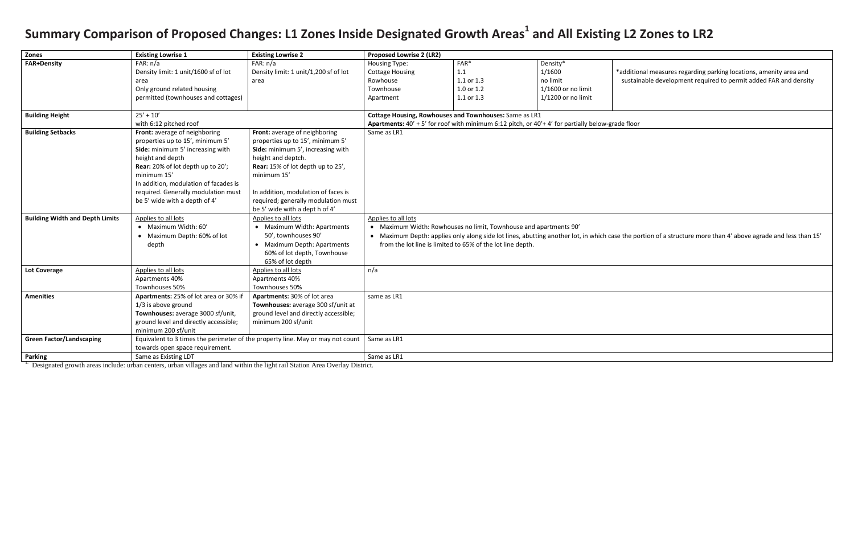\*additional measures regarding parking locations, amenity area and sustainable development required to permit added FAR and density

he portion of a structure more than 4' above agrade and less than 15'

## Summary Comparison of Proposed Changes: L1 Zones Inside Designated Growth Areas<sup>1</sup> and All Existing L2 Zones to LR2

| Zones                                  | <b>Existing Lowrise 1</b>             | <b>Existing Lowrise 2</b>                                                                                                                                  | <b>Proposed Lowrise 2 (LR2)</b>                                   |            |                                                                                              |          |  |
|----------------------------------------|---------------------------------------|------------------------------------------------------------------------------------------------------------------------------------------------------------|-------------------------------------------------------------------|------------|----------------------------------------------------------------------------------------------|----------|--|
| <b>FAR+Density</b>                     | FAR: n/a                              | FAR: n/a                                                                                                                                                   | Housing Type:                                                     | FAR*       | Density*                                                                                     |          |  |
|                                        | Density limit: 1 unit/1600 sf of lot  | Density limit: 1 unit/1,200 sf of lot                                                                                                                      | <b>Cottage Housing</b>                                            | 1.1        | 1/1600                                                                                       | *additio |  |
|                                        | area                                  | area                                                                                                                                                       | Rowhouse                                                          | 1.1 or 1.3 | no limit                                                                                     | sustair  |  |
|                                        | Only ground related housing           |                                                                                                                                                            | Townhouse                                                         | 1.0 or 1.2 | 1/1600 or no limit                                                                           |          |  |
|                                        | permitted (townhouses and cottages)   |                                                                                                                                                            | Apartment                                                         | 1.1 or 1.3 | $1/1200$ or no limit                                                                         |          |  |
| <b>Building Height</b>                 | $25' + 10'$                           |                                                                                                                                                            |                                                                   |            |                                                                                              |          |  |
|                                        | with 6:12 pitched roof                | Cottage Housing, Rowhouses and Townhouses: Same as LR1<br>Apartments: 40' + 5' for roof with minimum 6:12 pitch, or 40'+4' for partially below-grade floor |                                                                   |            |                                                                                              |          |  |
| <b>Building Setbacks</b>               | Front: average of neighboring         | Front: average of neighboring                                                                                                                              | Same as LR1                                                       |            |                                                                                              |          |  |
|                                        | properties up to 15', minimum 5'      | properties up to 15', minimum 5'                                                                                                                           |                                                                   |            |                                                                                              |          |  |
|                                        | Side: minimum 5' increasing with      | Side: minimum 5', increasing with                                                                                                                          |                                                                   |            |                                                                                              |          |  |
|                                        | height and depth                      | height and deptch.                                                                                                                                         |                                                                   |            |                                                                                              |          |  |
|                                        | Rear: 20% of lot depth up to 20';     | Rear: 15% of lot depth up to 25',                                                                                                                          |                                                                   |            |                                                                                              |          |  |
|                                        | minimum 15'                           | minimum 15'                                                                                                                                                |                                                                   |            |                                                                                              |          |  |
|                                        | In addition, modulation of facades is |                                                                                                                                                            |                                                                   |            |                                                                                              |          |  |
|                                        | required. Generally modulation must   | In addition, modulation of faces is                                                                                                                        |                                                                   |            |                                                                                              |          |  |
|                                        | be 5' wide with a depth of 4'         | required; generally modulation must                                                                                                                        |                                                                   |            |                                                                                              |          |  |
|                                        |                                       | be 5' wide with a dept h of 4'                                                                                                                             |                                                                   |            |                                                                                              |          |  |
| <b>Building Width and Depth Limits</b> | Applies to all lots                   | Applies to all lots                                                                                                                                        | Applies to all lots                                               |            |                                                                                              |          |  |
|                                        | • Maximum Width: 60'                  | • Maximum Width: Apartments                                                                                                                                | • Maximum Width: Rowhouses no limit, Townhouse and apartments 90' |            |                                                                                              |          |  |
|                                        | Maximum Depth: 60% of lot             | 50', townhouses 90'                                                                                                                                        |                                                                   |            | Maximum Depth: applies only along side lot lines, abutting another lot, in which case the po |          |  |
|                                        | depth                                 | • Maximum Depth: Apartments                                                                                                                                | from the lot line is limited to 65% of the lot line depth.        |            |                                                                                              |          |  |
|                                        |                                       | 60% of lot depth, Townhouse                                                                                                                                |                                                                   |            |                                                                                              |          |  |
|                                        |                                       | 65% of lot depth                                                                                                                                           |                                                                   |            |                                                                                              |          |  |
| <b>Lot Coverage</b>                    | Applies to all lots                   | Applies to all lots                                                                                                                                        | n/a                                                               |            |                                                                                              |          |  |
|                                        | Apartments 40%                        | Apartments 40%                                                                                                                                             |                                                                   |            |                                                                                              |          |  |
|                                        | Townhouses 50%                        | Townhouses 50%                                                                                                                                             |                                                                   |            |                                                                                              |          |  |
| <b>Amenities</b>                       | Apartments: 25% of lot area or 30% if | Apartments: 30% of lot area                                                                                                                                | same as LR1                                                       |            |                                                                                              |          |  |
|                                        | 1/3 is above ground                   | Townhouses: average 300 sf/unit at                                                                                                                         |                                                                   |            |                                                                                              |          |  |
|                                        | Townhouses: average 3000 sf/unit,     | ground level and directly accessible;                                                                                                                      |                                                                   |            |                                                                                              |          |  |
|                                        | ground level and directly accessible; | minimum 200 sf/unit                                                                                                                                        |                                                                   |            |                                                                                              |          |  |
|                                        | minimum 200 sf/unit                   |                                                                                                                                                            |                                                                   |            |                                                                                              |          |  |
| <b>Green Factor/Landscaping</b>        |                                       | Equivalent to 3 times the perimeter of the property line. May or may not count                                                                             | Same as LR1                                                       |            |                                                                                              |          |  |
|                                        | towards open space requirement.       |                                                                                                                                                            |                                                                   |            |                                                                                              |          |  |
| <b>Parking</b>                         | Same as Existing LDT                  |                                                                                                                                                            | Same as LR1                                                       |            |                                                                                              |          |  |

<sup>1.</sup> Designated growth areas include: urban centers, urban villages and land within the light rail Station Area Overlay District.